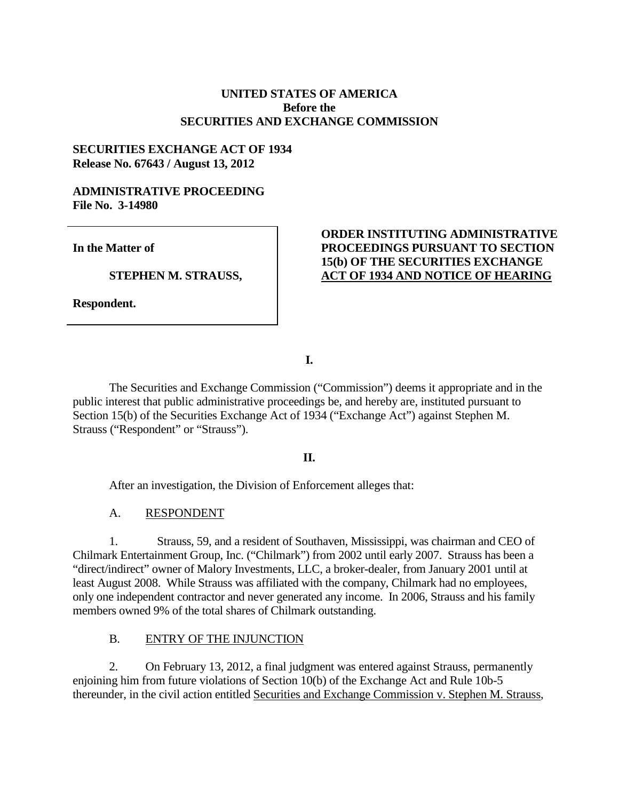## **UNITED STATES OF AMERICA Before the SECURITIES AND EXCHANGE COMMISSION**

## **SECURITIES EXCHANGE ACT OF 1934 Release No. 67643 / August 13, 2012**

### **ADMINISTRATIVE PROCEEDING File No. 3-14980**

**In the Matter of**

**STEPHEN M. STRAUSS,** 

**Respondent.**

# **ORDER INSTITUTING ADMINISTRATIVE PROCEEDINGS PURSUANT TO SECTION 15(b) OF THE SECURITIES EXCHANGE ACT OF 1934 AND NOTICE OF HEARING**

**I.**

The Securities and Exchange Commission ("Commission") deems it appropriate and in the public interest that public administrative proceedings be, and hereby are, instituted pursuant to Section 15(b) of the Securities Exchange Act of 1934 ("Exchange Act") against Stephen M. Strauss ("Respondent" or "Strauss").

### **II.**

After an investigation, the Division of Enforcement alleges that:

## A. RESPONDENT

1. Strauss, 59, and a resident of Southaven, Mississippi, was chairman and CEO of Chilmark Entertainment Group, Inc. ("Chilmark") from 2002 until early 2007. Strauss has been a "direct/indirect" owner of Malory Investments, LLC, a broker-dealer, from January 2001 until at least August 2008. While Strauss was affiliated with the company, Chilmark had no employees, only one independent contractor and never generated any income. In 2006, Strauss and his family members owned 9% of the total shares of Chilmark outstanding.

## B. ENTRY OF THE INJUNCTION

2. On February 13, 2012, a final judgment was entered against Strauss, permanently enjoining him from future violations of Section 10(b) of the Exchange Act and Rule 10b-5 thereunder, in the civil action entitled Securities and Exchange Commission v. Stephen M. Strauss,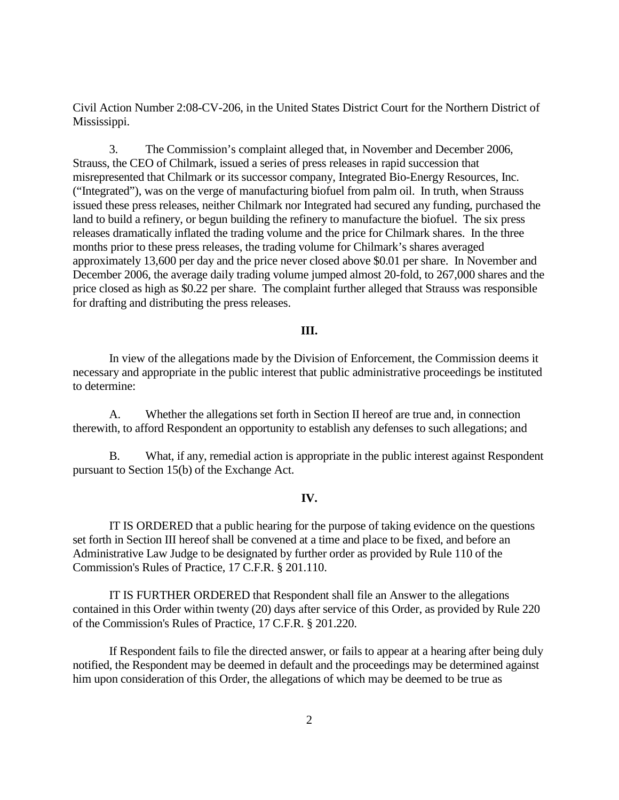Civil Action Number 2:08-CV-206, in the United States District Court for the Northern District of Mississippi.

3. The Commission's complaint alleged that, in November and December 2006, Strauss, the CEO of Chilmark, issued a series of press releases in rapid succession that misrepresented that Chilmark or its successor company, Integrated Bio-Energy Resources, Inc. ("Integrated"), was on the verge of manufacturing biofuel from palm oil. In truth, when Strauss issued these press releases, neither Chilmark nor Integrated had secured any funding, purchased the land to build a refinery, or begun building the refinery to manufacture the biofuel. The six press releases dramatically inflated the trading volume and the price for Chilmark shares. In the three months prior to these press releases, the trading volume for Chilmark's shares averaged approximately 13,600 per day and the price never closed above \$0.01 per share. In November and December 2006, the average daily trading volume jumped almost 20-fold, to 267,000 shares and the price closed as high as \$0.22 per share. The complaint further alleged that Strauss was responsible for drafting and distributing the press releases.

#### **III.**

In view of the allegations made by the Division of Enforcement, the Commission deems it necessary and appropriate in the public interest that public administrative proceedings be instituted to determine:

A. Whether the allegations set forth in Section II hereof are true and, in connection therewith, to afford Respondent an opportunity to establish any defenses to such allegations; and

B. What, if any, remedial action is appropriate in the public interest against Respondent pursuant to Section 15(b) of the Exchange Act.

#### **IV.**

IT IS ORDERED that a public hearing for the purpose of taking evidence on the questions set forth in Section III hereof shall be convened at a time and place to be fixed, and before an Administrative Law Judge to be designated by further order as provided by Rule 110 of the Commission's Rules of Practice, 17 C.F.R. § 201.110.

IT IS FURTHER ORDERED that Respondent shall file an Answer to the allegations contained in this Order within twenty (20) days after service of this Order, as provided by Rule 220 of the Commission's Rules of Practice, 17 C.F.R. § 201.220.

If Respondent fails to file the directed answer, or fails to appear at a hearing after being duly notified, the Respondent may be deemed in default and the proceedings may be determined against him upon consideration of this Order, the allegations of which may be deemed to be true as